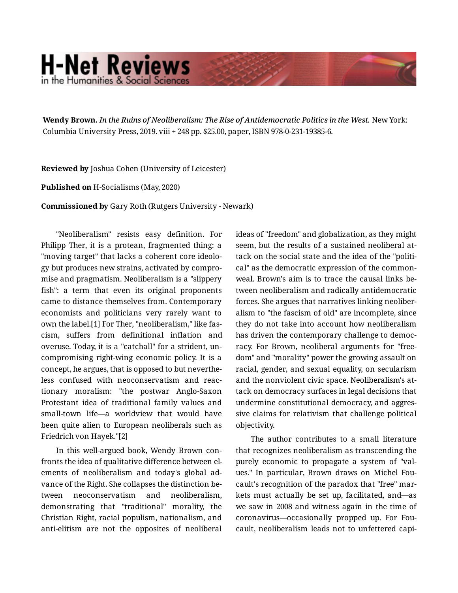## **H-Net Reviews** in the Humanities & Social Scienc

**Wendy Brown.** *In the Ruins of Neoliberalism: The Rise of Antidemocratic Politics in the West.* New York: Columbia University Press, 2019. viii + 248 pp. \$25.00, paper, ISBN 978-0-231-19385-6.

**Reviewed by** Joshua Cohen (University of Leicester)

**Published on** H-Socialisms (May, 2020)

**Commissioned by** Gary Roth (Rutgers University - Newark)

"Neoliberalism" resists easy definition. For Philipp Ther, it is a protean, fragmented thing: a "moving target" that lacks a coherent core ideolo‐ gy but produces new strains, activated by compro‐ mise and pragmatism. Neoliberalism is a "slippery fish": a term that even its original proponents came to distance themselves from. Contemporary economists and politicians very rarely want to own the label.[1] For Ther, "neoliberalism," like fas‐ cism, suffers from definitional inflation and overuse. Today, it is a "catchall" for a strident, un‐ compromising right-wing economic policy. It is a concept, he argues, that is opposed to but neverthe‐ less confused with neoconservatism and reac‐ tionary moralism: "the postwar Anglo-Saxon Protestant idea of traditional family values and small-town life—a worldview that would have been quite alien to European neoliberals such as Friedrich von Hayek."[2]

In this well-argued book, Wendy Brown con‐ fronts the idea of qualitative difference between el‐ ements of neoliberalism and today's global ad‐ vance of the Right. She collapses the distinction be‐ tween neoconservatism and neoliberalism, demonstrating that "traditional" morality, the Christian Right, racial populism, nationalism, and anti-elitism are not the opposites of neoliberal ideas of "freedom" and globalization, as they might seem, but the results of a sustained neoliberal at‐ tack on the social state and the idea of the "political" as the democratic expression of the common‐ weal. Brown's aim is to trace the causal links be‐ tween neoliberalism and radically antidemocratic forces. She argues that narratives linking neoliber‐ alism to "the fascism of old" are incomplete, since they do not take into account how neoliberalism has driven the contemporary challenge to democ‐ racy. For Brown, neoliberal arguments for "free‐ dom" and "morality" power the growing assault on racial, gender, and sexual equality, on secularism and the nonviolent civic space. Neoliberalism's at‐ tack on democracy surfaces in legal decisions that undermine constitutional democracy, and aggres‐ sive claims for relativism that challenge political objectivity.

The author contributes to a small literature that recognizes neoliberalism as transcending the purely economic to propagate a system of "val‐ ues." In particular, Brown draws on Michel Fou‐ cault's recognition of the paradox that "free" mar‐ kets must actually be set up, facilitated, and—as we saw in 2008 and witness again in the time of coronavirus—occasionally propped up. For Fou‐ cault, neoliberalism leads not to unfettered capi‐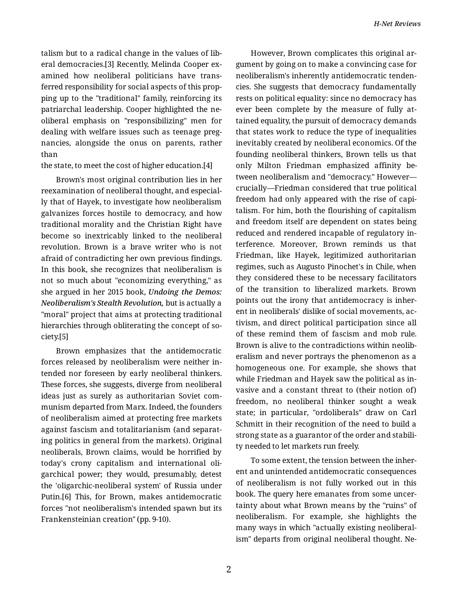talism but to a radical change in the values of lib‐ eral democracies.[3] Recently, Melinda Cooper ex‐ amined how neoliberal politicians have trans‐ ferred responsibility for social aspects of this prop‐ ping up to the "traditional" family, reinforcing its patriarchal leadership. Cooper highlighted the ne‐ oliberal emphasis on "responsibilizing" men for dealing with welfare issues such as teenage pregnancies, alongside the onus on parents, rather than

the state, to meet the cost of higher education.[4]

Brown's most original contribution lies in her reexamination of neoliberal thought, and especial‐ ly that of Hayek, to investigate how neoliberalism galvanizes forces hostile to democracy, and how traditional morality and the Christian Right have become so inextricably linked to the neoliberal revolution. Brown is a brave writer who is not afraid of contradicting her own previous findings. In this book, she recognizes that neoliberalism is not so much about "economizing everything," as she argued in her 2015 book, *Undoing the Demos: Neoliberalism's Stealth Revolution,* but is actually a "moral" project that aims at protecting traditional hierarchies through obliterating the concept of so‐ ciety.[5]

Brown emphasizes that the antidemocratic forces released by neoliberalism were neither in‐ tended nor foreseen by early neoliberal thinkers. These forces, she suggests, diverge from neoliberal ideas just as surely as authoritarian Soviet com‐ munism departed from Marx. Indeed, the founders of neoliberalism aimed at protecting free markets against fascism and totalitarianism (and separat‐ ing politics in general from the markets). Original neoliberals, Brown claims, would be horrified by today's crony capitalism and international oli‐ garchical power; they would, presumably, detest the 'oligarchic-neoliberal system' of Russia under Putin.[6] This, for Brown, makes antidemocratic forces "not neoliberalism's intended spawn but its Frankensteinian creation" (pp. 9-10).

However, Brown complicates this original ar‐ gument by going on to make a convincing case for neoliberalism's inherently antidemocratic tenden‐ cies. She suggests that democracy fundamentally rests on political equality: since no democracy has ever been complete by the measure of fully at‐ tained equality, the pursuit of democracy demands that states work to reduce the type of inequalities inevitably created by neoliberal economics. Of the founding neoliberal thinkers, Brown tells us that only Milton Friedman emphasized affinity be‐ tween neoliberalism and "democracy." However crucially—Friedman considered that true political freedom had only appeared with the rise of capi‐ talism. For him, both the flourishing of capitalism and freedom itself are dependent on states being reduced and rendered incapable of regulatory in‐ terference. Moreover, Brown reminds us that Friedman, like Hayek, legitimized authoritarian regimes, such as Augusto Pinochet's in Chile, when they considered these to be necessary facilitators of the transition to liberalized markets. Brown points out the irony that antidemocracy is inher‐ ent in neoliberals' dislike of social movements, ac‐ tivism, and direct political participation since all of these remind them of fascism and mob rule. Brown is alive to the contradictions within neolib‐ eralism and never portrays the phenomenon as a homogeneous one. For example, she shows that while Friedman and Hayek saw the political as in‐ vasive and a constant threat to (their notion of) freedom, no neoliberal thinker sought a weak state; in particular, "ordoliberals" draw on Carl Schmitt in their recognition of the need to build a strong state as a guarantor of the order and stabili‐ ty needed to let markets run freely.

To some extent, the tension between the inher‐ ent and unintended antidemocratic consequences of neoliberalism is not fully worked out in this book. The query here emanates from some uncer‐ tainty about what Brown means by the "ruins" of neoliberalism. For example, she highlights the many ways in which "actually existing neoliberal‐ ism" departs from original neoliberal thought. Ne‐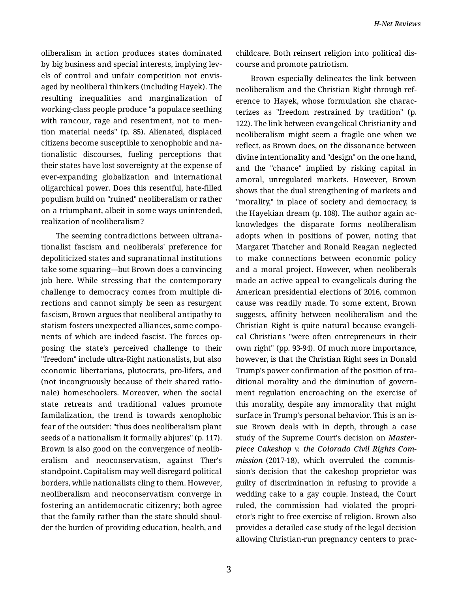oliberalism in action produces states dominated by big business and special interests, implying lev‐ els of control and unfair competition not envis‐ aged by neoliberal thinkers (including Hayek). The resulting inequalities and marginalization of working-class people produce "a populace seething with rancour, rage and resentment, not to mention material needs" (p. 85). Alienated, displaced citizens become susceptible to xenophobic and na‐ tionalistic discourses, fueling perceptions that their states have lost sovereignty at the expense of ever-expanding globalization and international oligarchical power. Does this resentful, hate-filled populism build on "ruined" neoliberalism or rather on a triumphant, albeit in some ways unintended, realization of neoliberalism?

The seeming contradictions between ultrana‐ tionalist fascism and neoliberals' preference for depoliticized states and supranational institutions take some squaring—but Brown does a convincing job here. While stressing that the contemporary challenge to democracy comes from multiple di‐ rections and cannot simply be seen as resurgent fascism, Brown argues that neoliberal antipathy to statism fosters unexpected alliances, some compo‐ nents of which are indeed fascist. The forces op‐ posing the state's perceived challenge to their "freedom" include ultra-Right nationalists, but also economic libertarians, plutocrats, pro-lifers, and (not incongruously because of their shared ratio‐ nale) homeschoolers. Moreover, when the social state retreats and traditional values promote familalization, the trend is towards xenophobic fear of the outsider: "thus does neoliberalism plant seeds of a nationalism it formally abjures" (p. 117). Brown is also good on the convergence of neolib‐ eralism and neoconservatism, against Ther's standpoint. Capitalism may well disregard political borders, while nationalists cling to them. However, neoliberalism and neoconservatism converge in fostering an antidemocratic citizenry; both agree that the family rather than the state should shoul‐ der the burden of providing education, health, and childcare. Both reinsert religion into political dis‐ course and promote patriotism.

Brown especially delineates the link between neoliberalism and the Christian Right through ref‐ erence to Hayek, whose formulation she charac‐ terizes as "freedom restrained by tradition" (p. 122). The link between evangelical Christianity and neoliberalism might seem a fragile one when we reflect, as Brown does, on the dissonance between divine intentionality and "design" on the one hand, and the "chance" implied by risking capital in amoral, unregulated markets. However, Brown shows that the dual strengthening of markets and "morality," in place of society and democracy, is the Hayekian dream (p. 108). The author again ac‐ knowledges the disparate forms neoliberalism adopts when in positions of power, noting that Margaret Thatcher and Ronald Reagan neglected to make connections between economic policy and a moral project. However, when neoliberals made an active appeal to evangelicals during the American presidential elections of 2016, common cause was readily made. To some extent, Brown suggests, affinity between neoliberalism and the Christian Right is quite natural because evangeli‐ cal Christians "were often entrepreneurs in their own right" (pp. 93-94). Of much more importance, however, is that the Christian Right sees in Donald Trump's power confirmation of the position of tra‐ ditional morality and the diminution of govern‐ ment regulation encroaching on the exercise of this morality, despite any immorality that might surface in Trump's personal behavior. This is an is‐ sue Brown deals with in depth, through a case study of the Supreme Court's decision on *Master‐ piece Cakeshop v. the Colorado Civil Rights Com‐ mission* (2017-18), which overruled the commis‐ sion's decision that the cakeshop proprietor was guilty of discrimination in refusing to provide a wedding cake to a gay couple. Instead, the Court ruled, the commission had violated the propri‐ etor's right to free exercise of religion. Brown also provides a detailed case study of the legal decision allowing Christian-run pregnancy centers to prac‐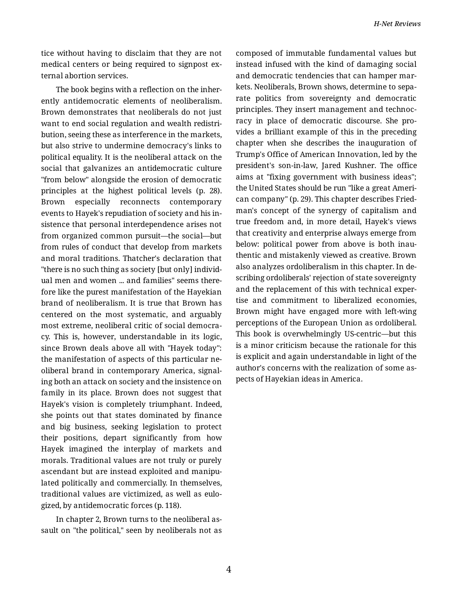tice without having to disclaim that they are not medical centers or being required to signpost ex‐ ternal abortion services.

The book begins with a reflection on the inher‐ ently antidemocratic elements of neoliberalism. Brown demonstrates that neoliberals do not just want to end social regulation and wealth redistri‐ bution, seeing these as interference in the markets, but also strive to undermine democracy's links to political equality. It is the neoliberal attack on the social that galvanizes an antidemocratic culture "from below" alongside the erosion of democratic principles at the highest political levels (p. 28). Brown especially reconnects contemporary events to Hayek's repudiation of society and his in‐ sistence that personal interdependence arises not from organized common pursuit—the social—but from rules of conduct that develop from markets and moral traditions. Thatcher's declaration that "there is no such thing as society [but only] individ‐ ual men and women ... and families" seems therefore like the purest manifestation of the Hayekian brand of neoliberalism. It is true that Brown has centered on the most systematic, and arguably most extreme, neoliberal critic of social democra‐ cy. This is, however, understandable in its logic, since Brown deals above all with "Hayek today": the manifestation of aspects of this particular ne‐ oliberal brand in contemporary America, signal‐ ing both an attack on society and the insistence on family in its place. Brown does not suggest that Hayek's vision is completely triumphant. Indeed, she points out that states dominated by finance and big business, seeking legislation to protect their positions, depart significantly from how Hayek imagined the interplay of markets and morals. Traditional values are not truly or purely ascendant but are instead exploited and manipu‐ lated politically and commercially. In themselves, traditional values are victimized, as well as eulo‐ gized, by antidemocratic forces (p. 118).

In chapter 2, Brown turns to the neoliberal as‐ sault on "the political," seen by neoliberals not as composed of immutable fundamental values but instead infused with the kind of damaging social and democratic tendencies that can hamper markets. Neoliberals, Brown shows, determine to sepa‐ rate politics from sovereignty and democratic principles. They insert management and technoc‐ racy in place of democratic discourse. She pro‐ vides a brilliant example of this in the preceding chapter when she describes the inauguration of Trump's Office of American Innovation, led by the president's son-in-law, Jared Kushner. The office aims at "fixing government with business ideas"; the United States should be run "like a great Ameri‐ can company" (p. 29). This chapter describes Fried‐ man's concept of the synergy of capitalism and true freedom and, in more detail, Hayek's views that creativity and enterprise always emerge from below: political power from above is both inauthentic and mistakenly viewed as creative. Brown also analyzes ordoliberalism in this chapter. In de‐ scribing ordoliberals' rejection of state sovereignty and the replacement of this with technical exper‐ tise and commitment to liberalized economies, Brown might have engaged more with left-wing perceptions of the European Union as ordoliberal. This book is overwhelmingly US-centric—but this is a minor criticism because the rationale for this is explicit and again understandable in light of the author's concerns with the realization of some as‐ pects of Hayekian ideas in America.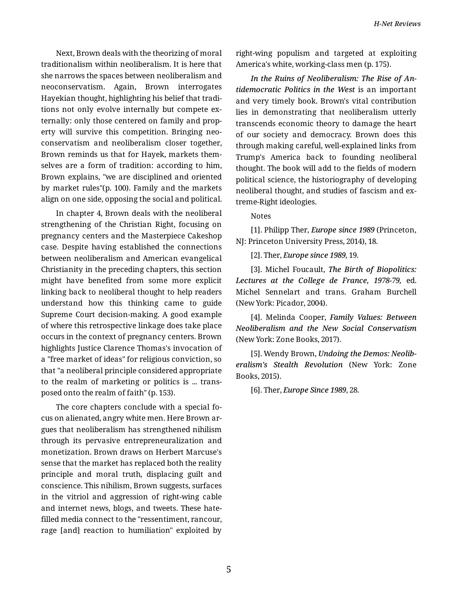Next, Brown deals with the theorizing of moral traditionalism within neoliberalism. It is here that she narrows the spaces between neoliberalism and neoconservatism. Again, Brown interrogates Hayekian thought, highlighting his belief that tradi‐ tions not only evolve internally but compete ex‐ ternally: only those centered on family and prop‐ erty will survive this competition. Bringing neo‐ conservatism and neoliberalism closer together, Brown reminds us that for Hayek, markets them‐ selves are a form of tradition: according to him, Brown explains, "we are disciplined and oriented by market rules"(p. 100). Family and the markets align on one side, opposing the social and political.

In chapter 4, Brown deals with the neoliberal strengthening of the Christian Right, focusing on pregnancy centers and the Masterpiece Cakeshop case. Despite having established the connections between neoliberalism and American evangelical Christianity in the preceding chapters, this section might have benefited from some more explicit linking back to neoliberal thought to help readers understand how this thinking came to guide Supreme Court decision-making. A good example of where this retrospective linkage does take place occurs in the context of pregnancy centers. Brown highlights Justice Clarence Thomas's invocation of a "free market of ideas" for religious conviction, so that "a neoliberal principle considered appropriate to the realm of marketing or politics is ... trans‐ posed onto the realm of faith" (p. 153).

The core chapters conclude with a special fo‐ cus on alienated, angry white men. Here Brown ar‐ gues that neoliberalism has strengthened nihilism through its pervasive entrepreneuralization and monetization. Brown draws on Herbert Marcuse's sense that the market has replaced both the reality principle and moral truth, displacing guilt and conscience. This nihilism, Brown suggests, surfaces in the vitriol and aggression of right-wing cable and internet news, blogs, and tweets. These hatefilled media connect to the "ressentiment, rancour, rage [and] reaction to humiliation" exploited by right-wing populism and targeted at exploiting America's white, working-class men (p. 175).

*In the Ruins of Neoliberalism: The Rise of An‐ tidemocratic Politics in the West* is an important and very timely book. Brown's vital contribution lies in demonstrating that neoliberalism utterly transcends economic theory to damage the heart of our society and democracy. Brown does this through making careful, well-explained links from Trump's America back to founding neoliberal thought. The book will add to the fields of modern political science, the historiography of developing neoliberal thought, and studies of fascism and ex‐ treme-Right ideologies.

Notes

[1]. Philipp Ther, *Europe since 1989* (Princeton, NJ: Princeton University Press, 2014), 18.

[2]. Ther, *Europe since 1989*, 19.

[3]. Michel Foucault, *The Birth of Biopolitics: Lectures at the College de France, 1978-79,* ed. Michel Sennelart and trans. Graham Burchell (New York: Picador, 2004).

[4]. Melinda Cooper, *Family Values: Between Neoliberalism and the New Social Conservatism* (New York: Zone Books, 2017).

[5]. Wendy Brown, *Undoing the Demos: Neolib‐ eralism's Stealth Revolution* (New York: Zone Books, 2015).

[6]. Ther, *Europe Since 1989*, 28.